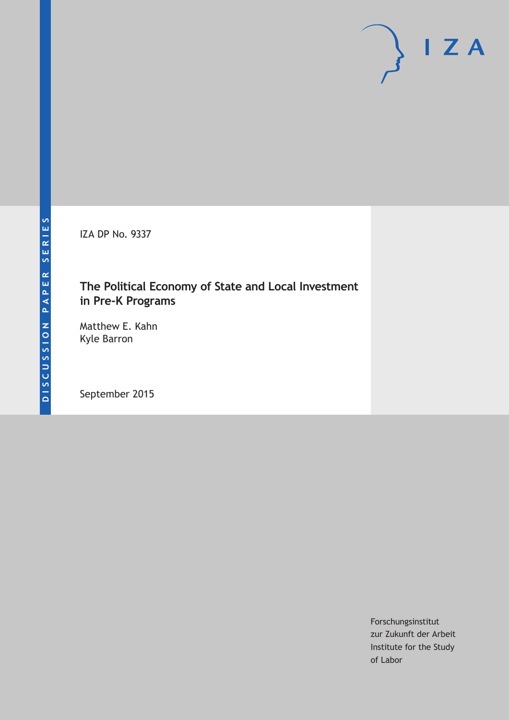IZA DP No. 9337

# **The Political Economy of State and Local Investment in Pre-K Programs**

Matthew E. Kahn Kyle Barron

September 2015

Forschungsinstitut zur Zukunft der Arbeit Institute for the Study of Labor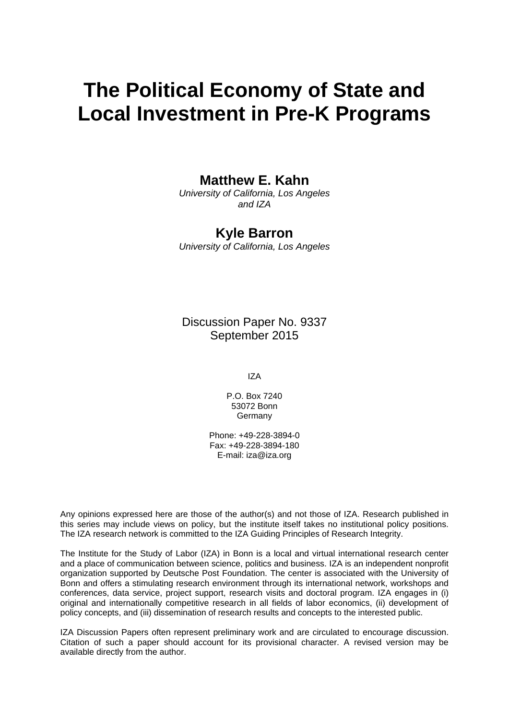# **The Political Economy of State and Local Investment in Pre-K Programs**

# **Matthew E. Kahn**

*University of California, Los Angeles and IZA* 

## **Kyle Barron**

*University of California, Los Angeles* 

Discussion Paper No. 9337 September 2015

IZA

P.O. Box 7240 53072 Bonn **Germany** 

Phone: +49-228-3894-0 Fax: +49-228-3894-180 E-mail: iza@iza.org

Any opinions expressed here are those of the author(s) and not those of IZA. Research published in this series may include views on policy, but the institute itself takes no institutional policy positions. The IZA research network is committed to the IZA Guiding Principles of Research Integrity.

The Institute for the Study of Labor (IZA) in Bonn is a local and virtual international research center and a place of communication between science, politics and business. IZA is an independent nonprofit organization supported by Deutsche Post Foundation. The center is associated with the University of Bonn and offers a stimulating research environment through its international network, workshops and conferences, data service, project support, research visits and doctoral program. IZA engages in (i) original and internationally competitive research in all fields of labor economics, (ii) development of policy concepts, and (iii) dissemination of research results and concepts to the interested public.

IZA Discussion Papers often represent preliminary work and are circulated to encourage discussion. Citation of such a paper should account for its provisional character. A revised version may be available directly from the author.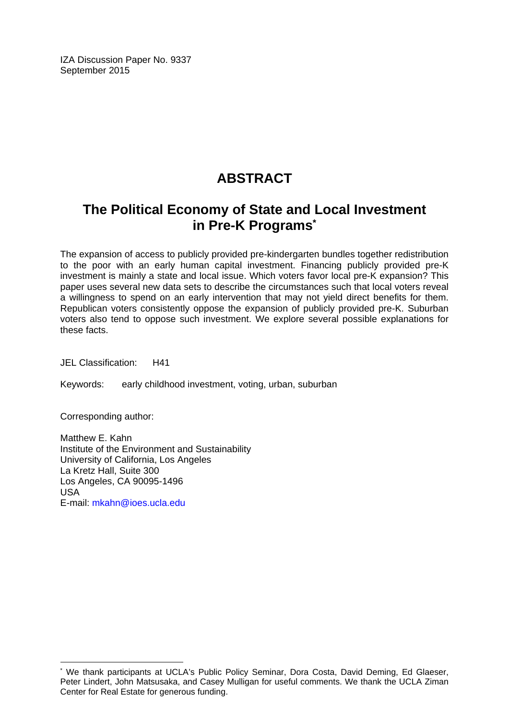IZA Discussion Paper No. 9337 September 2015

# **ABSTRACT**

# **The Political Economy of State and Local Investment in Pre-K Programs\***

The expansion of access to publicly provided pre-kindergarten bundles together redistribution to the poor with an early human capital investment. Financing publicly provided pre-K investment is mainly a state and local issue. Which voters favor local pre-K expansion? This paper uses several new data sets to describe the circumstances such that local voters reveal a willingness to spend on an early intervention that may not yield direct benefits for them. Republican voters consistently oppose the expansion of publicly provided pre-K. Suburban voters also tend to oppose such investment. We explore several possible explanations for these facts.

JEL Classification: H41

Keywords: early childhood investment, voting, urban, suburban

Corresponding author:

 $\overline{a}$ 

Matthew E. Kahn Institute of the Environment and Sustainability University of California, Los Angeles La Kretz Hall, Suite 300 Los Angeles, CA 90095-1496 USA E-mail: mkahn@ioes.ucla.edu

<sup>\*</sup> We thank participants at UCLA's Public Policy Seminar, Dora Costa, David Deming, Ed Glaeser, Peter Lindert, John Matsusaka, and Casey Mulligan for useful comments. We thank the UCLA Ziman Center for Real Estate for generous funding.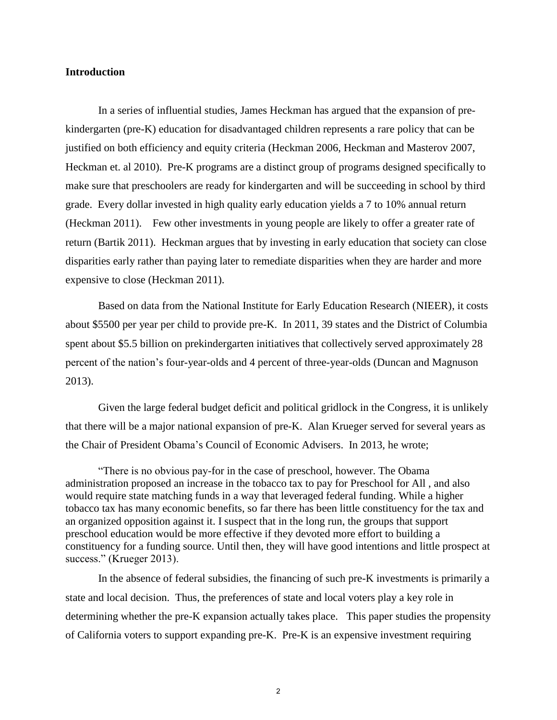#### **Introduction**

In a series of influential studies, James Heckman has argued that the expansion of prekindergarten (pre-K) education for disadvantaged children represents a rare policy that can be justified on both efficiency and equity criteria (Heckman 2006, Heckman and Masterov 2007, Heckman et. al 2010). Pre-K programs are a distinct group of programs designed specifically to make sure that preschoolers are ready for kindergarten and will be succeeding in school by third grade. Every dollar invested in high quality early education yields a 7 to 10% annual return (Heckman 2011). Few other investments in young people are likely to offer a greater rate of return (Bartik 2011). Heckman argues that by investing in early education that society can close disparities early rather than paying later to remediate disparities when they are harder and more expensive to close (Heckman 2011).

Based on data from the National Institute for Early Education Research (NIEER), it costs about \$5500 per year per child to provide pre-K. In 2011, 39 states and the District of Columbia spent about \$5.5 billion on prekindergarten initiatives that collectively served approximately 28 percent of the nation's four-year-olds and 4 percent of three-year-olds (Duncan and Magnuson 2013).

Given the large federal budget deficit and political gridlock in the Congress, it is unlikely that there will be a major national expansion of pre-K. Alan Krueger served for several years as the Chair of President Obama's Council of Economic Advisers. In 2013, he wrote;

"There is no obvious pay-for in the case of preschool, however. The Obama administration proposed an increase in the tobacco tax to pay for Preschool for All , and also would require state matching funds in a way that leveraged federal funding. While a higher tobacco tax has many economic benefits, so far there has been little constituency for the tax and an organized opposition against it. I suspect that in the long run, the groups that support preschool education would be more effective if they devoted more effort to building a constituency for a funding source. Until then, they will have good intentions and little prospect at success." (Krueger 2013).

In the absence of federal subsidies, the financing of such pre-K investments is primarily a state and local decision. Thus, the preferences of state and local voters play a key role in determining whether the pre-K expansion actually takes place. This paper studies the propensity of California voters to support expanding pre-K. Pre-K is an expensive investment requiring

2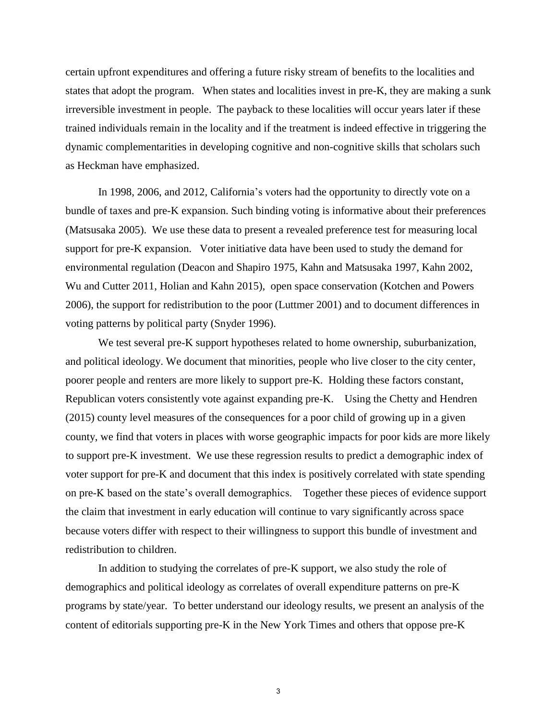certain upfront expenditures and offering a future risky stream of benefits to the localities and states that adopt the program. When states and localities invest in pre-K, they are making a sunk irreversible investment in people. The payback to these localities will occur years later if these trained individuals remain in the locality and if the treatment is indeed effective in triggering the dynamic complementarities in developing cognitive and non-cognitive skills that scholars such as Heckman have emphasized.

In 1998, 2006, and 2012, California's voters had the opportunity to directly vote on a bundle of taxes and pre-K expansion. Such binding voting is informative about their preferences (Matsusaka 2005). We use these data to present a revealed preference test for measuring local support for pre-K expansion. Voter initiative data have been used to study the demand for environmental regulation (Deacon and Shapiro 1975, Kahn and Matsusaka 1997, Kahn 2002, Wu and Cutter 2011, Holian and Kahn 2015), open space conservation (Kotchen and Powers 2006), the support for redistribution to the poor (Luttmer 2001) and to document differences in voting patterns by political party (Snyder 1996).

We test several pre-K support hypotheses related to home ownership, suburbanization, and political ideology. We document that minorities, people who live closer to the city center, poorer people and renters are more likely to support pre-K. Holding these factors constant, Republican voters consistently vote against expanding pre-K. Using the Chetty and Hendren (2015) county level measures of the consequences for a poor child of growing up in a given county, we find that voters in places with worse geographic impacts for poor kids are more likely to support pre-K investment. We use these regression results to predict a demographic index of voter support for pre-K and document that this index is positively correlated with state spending on pre-K based on the state's overall demographics. Together these pieces of evidence support the claim that investment in early education will continue to vary significantly across space because voters differ with respect to their willingness to support this bundle of investment and redistribution to children.

In addition to studying the correlates of pre-K support, we also study the role of demographics and political ideology as correlates of overall expenditure patterns on pre-K programs by state/year. To better understand our ideology results, we present an analysis of the content of editorials supporting pre-K in the New York Times and others that oppose pre-K

3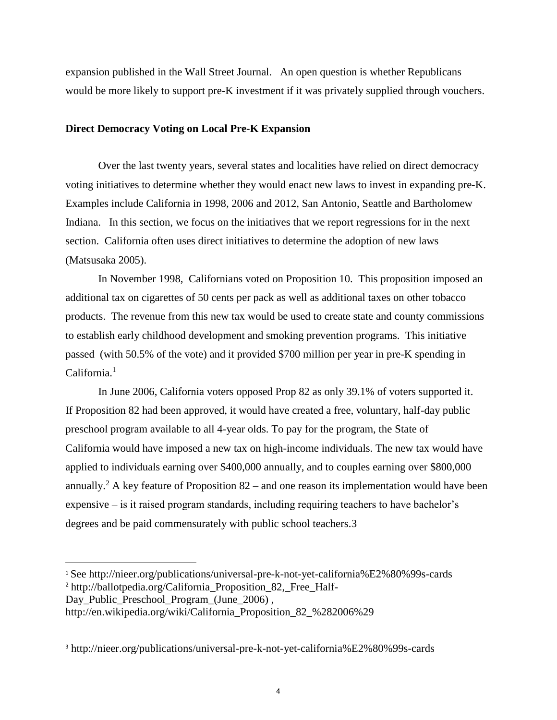expansion published in the Wall Street Journal. An open question is whether Republicans would be more likely to support pre-K investment if it was privately supplied through vouchers.

#### **Direct Democracy Voting on Local Pre-K Expansion**

Over the last twenty years, several states and localities have relied on direct democracy voting initiatives to determine whether they would enact new laws to invest in expanding pre-K. Examples include California in 1998, 2006 and 2012, San Antonio, Seattle and Bartholomew Indiana. In this section, we focus on the initiatives that we report regressions for in the next section. California often uses direct initiatives to determine the adoption of new laws (Matsusaka 2005).

 In November 1998, Californians voted on Proposition 10. This proposition imposed an additional tax on cigarettes of 50 cents per pack as well as additional taxes on other tobacco products. The revenue from this new tax would be used to create state and county commissions to establish early childhood development and smoking prevention programs. This initiative passed (with 50.5% of the vote) and it provided \$700 million per year in pre-K spending in  $California<sup>1</sup>$ 

In June 2006, California voters opposed Prop 82 as only 39.1% of voters supported it. If Proposition 82 had been approved, it would have created a free, voluntary, half-day public preschool program available to all 4-year olds. To pay for the program, the State of California would have imposed a new tax on high-income individuals. The new tax would have applied to individuals earning over \$400,000 annually, and to couples earning over \$800,000 annually.<sup>2</sup> A key feature of Proposition  $82$  – and one reason its implementation would have been expensive – is it raised program standards, including requiring teachers to have bachelor's degrees and be paid commensurately with public school teachers.3

Day\_Public\_Preschool\_Program\_(June\_2006) ,

 $\overline{\phantom{a}}$ 

<sup>1</sup> See http://nieer.org/publications/universal-pre-k-not-yet-california%E2%80%99s-cards <sup>2</sup> http://ballotpedia.org/California Proposition 82, Free Half-

http://en.wikipedia.org/wiki/California\_Proposition\_82\_%282006%29

<sup>3</sup> http://nieer.org/publications/universal-pre-k-not-yet-california%E2%80%99s-cards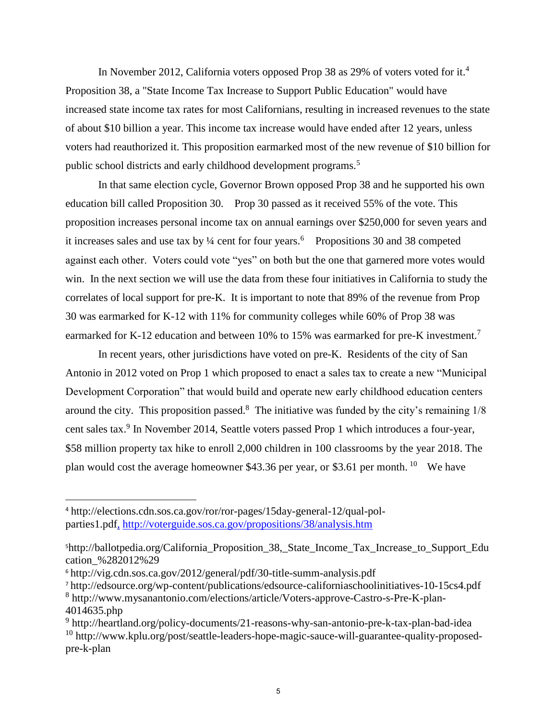In November 2012, California voters opposed Prop 38 as 29% of voters voted for it.<sup>4</sup> Proposition 38, a "State Income Tax Increase to Support Public Education" would have increased state income tax rates for most Californians, resulting in increased revenues to the state of about \$10 billion a year. This income tax increase would have ended after 12 years, unless voters had reauthorized it. This proposition earmarked most of the new revenue of \$10 billion for public school districts and early childhood development programs.<sup>5</sup>

In that same election cycle, Governor Brown opposed Prop 38 and he supported his own education bill called Proposition 30. Prop 30 passed as it received 55% of the vote. This proposition increases personal income tax on annual earnings over \$250,000 for seven years and it increases sales and use tax by 1/4 cent for four years.<sup>6</sup> Propositions 30 and 38 competed against each other. Voters could vote "yes" on both but the one that garnered more votes would win. In the next section we will use the data from these four initiatives in California to study the correlates of local support for pre-K. It is important to note that 89% of the revenue from Prop 30 was earmarked for K-12 with 11% for community colleges while 60% of Prop 38 was earmarked for K-12 education and between 10% to 15% was earmarked for pre-K investment.<sup>7</sup>

In recent years, other jurisdictions have voted on pre-K. Residents of the city of San Antonio in 2012 voted on Prop 1 which proposed to enact a sales tax to create a new "Municipal Development Corporation" that would build and operate new early childhood education centers around the city. This proposition passed. $8$  The initiative was funded by the city's remaining  $1/8$ cent sales tax.<sup>9</sup> In November 2014, Seattle voters passed Prop 1 which introduces a four-year, \$58 million property tax hike to enroll 2,000 children in 100 classrooms by the year 2018. The plan would cost the average homeowner \$43.36 per year, or \$3.61 per month. <sup>10</sup> We have

 $\overline{a}$ 

<sup>4</sup> http://elections.cdn.sos.ca.gov/ror/ror-pages/15day-general-12/qual-polparties1.pdf, http://voterguide.sos.ca.gov/propositions/38/analysis.htm

<sup>5</sup>http://ballotpedia.org/California\_Proposition\_38,\_State\_Income\_Tax\_Increase\_to\_Support\_Edu cation\_%282012%29

<sup>6</sup> http://vig.cdn.sos.ca.gov/2012/general/pdf/30-title-summ-analysis.pdf

<sup>7</sup> http://edsource.org/wp-content/publications/edsource-californiaschoolinitiatives-10-15cs4.pdf

<sup>8</sup> http://www.mysanantonio.com/elections/article/Voters-approve-Castro-s-Pre-K-plan-4014635.php

<sup>&</sup>lt;sup>9</sup> http://heartland.org/policy-documents/21-reasons-why-san-antonio-pre-k-tax-plan-bad-idea <sup>10</sup> http://www.kplu.org/post/seattle-leaders-hope-magic-sauce-will-guarantee-quality-proposedpre-k-plan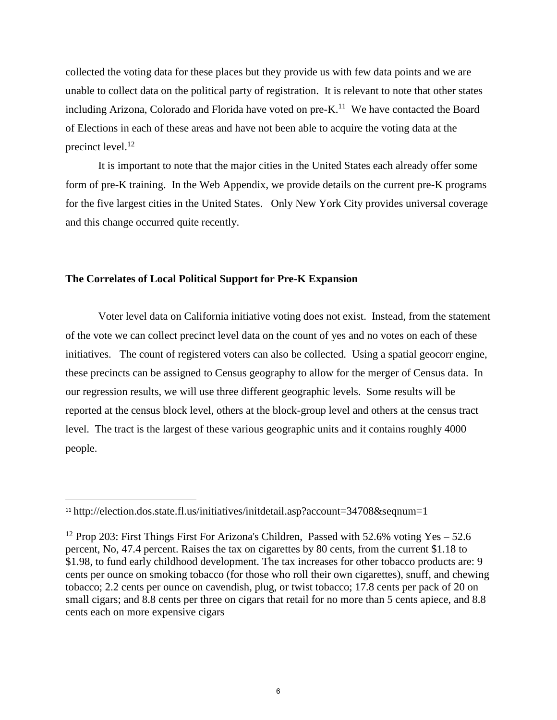collected the voting data for these places but they provide us with few data points and we are unable to collect data on the political party of registration. It is relevant to note that other states including Arizona, Colorado and Florida have voted on  $pre-K$ .<sup>11</sup> We have contacted the Board of Elections in each of these areas and have not been able to acquire the voting data at the precinct level.<sup>12</sup>

It is important to note that the major cities in the United States each already offer some form of pre-K training. In the Web Appendix, we provide details on the current pre-K programs for the five largest cities in the United States. Only New York City provides universal coverage and this change occurred quite recently.

#### **The Correlates of Local Political Support for Pre-K Expansion**

Voter level data on California initiative voting does not exist. Instead, from the statement of the vote we can collect precinct level data on the count of yes and no votes on each of these initiatives. The count of registered voters can also be collected. Using a spatial geocorr engine, these precincts can be assigned to Census geography to allow for the merger of Census data. In our regression results, we will use three different geographic levels. Some results will be reported at the census block level, others at the block-group level and others at the census tract level. The tract is the largest of these various geographic units and it contains roughly 4000 people.

 $\overline{\phantom{a}}$ 

<sup>11</sup> http://election.dos.state.fl.us/initiatives/initdetail.asp?account=34708&seqnum=1

<sup>&</sup>lt;sup>12</sup> Prop 203: First Things First For Arizona's Children, Passed with 52.6% voting Yes – 52.6 percent, No, 47.4 percent. Raises the tax on cigarettes by 80 cents, from the current \$1.18 to \$1.98, to fund early childhood development. The tax increases for other tobacco products are: 9 cents per ounce on smoking tobacco (for those who roll their own cigarettes), snuff, and chewing tobacco; 2.2 cents per ounce on cavendish, plug, or twist tobacco; 17.8 cents per pack of 20 on small cigars; and 8.8 cents per three on cigars that retail for no more than 5 cents apiece, and 8.8 cents each on more expensive cigars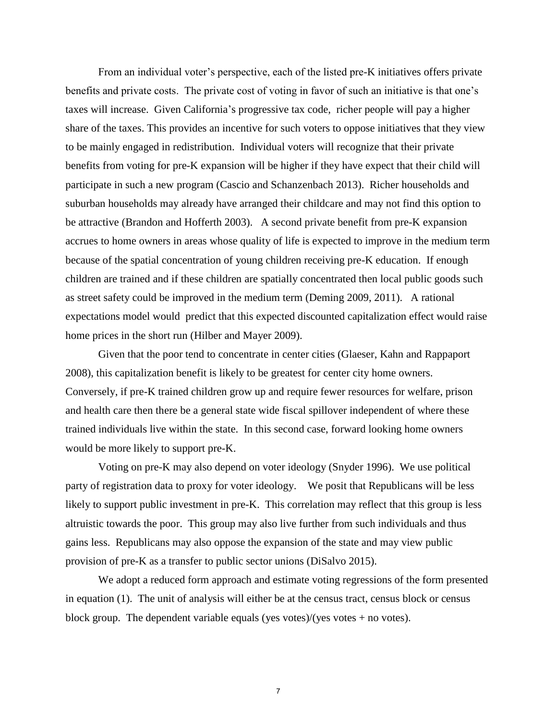From an individual voter's perspective, each of the listed pre-K initiatives offers private benefits and private costs. The private cost of voting in favor of such an initiative is that one's taxes will increase. Given California's progressive tax code, richer people will pay a higher share of the taxes. This provides an incentive for such voters to oppose initiatives that they view to be mainly engaged in redistribution. Individual voters will recognize that their private benefits from voting for pre-K expansion will be higher if they have expect that their child will participate in such a new program (Cascio and Schanzenbach 2013). Richer households and suburban households may already have arranged their childcare and may not find this option to be attractive (Brandon and Hofferth 2003). A second private benefit from pre-K expansion accrues to home owners in areas whose quality of life is expected to improve in the medium term because of the spatial concentration of young children receiving pre-K education. If enough children are trained and if these children are spatially concentrated then local public goods such as street safety could be improved in the medium term (Deming 2009, 2011). A rational expectations model would predict that this expected discounted capitalization effect would raise home prices in the short run (Hilber and Mayer 2009).

Given that the poor tend to concentrate in center cities (Glaeser, Kahn and Rappaport 2008), this capitalization benefit is likely to be greatest for center city home owners. Conversely, if pre-K trained children grow up and require fewer resources for welfare, prison and health care then there be a general state wide fiscal spillover independent of where these trained individuals live within the state. In this second case, forward looking home owners would be more likely to support pre-K.

 Voting on pre-K may also depend on voter ideology (Snyder 1996). We use political party of registration data to proxy for voter ideology. We posit that Republicans will be less likely to support public investment in pre-K. This correlation may reflect that this group is less altruistic towards the poor. This group may also live further from such individuals and thus gains less. Republicans may also oppose the expansion of the state and may view public provision of pre-K as a transfer to public sector unions (DiSalvo 2015).

We adopt a reduced form approach and estimate voting regressions of the form presented in equation (1). The unit of analysis will either be at the census tract, census block or census block group. The dependent variable equals (yes votes)/(yes votes + no votes).

7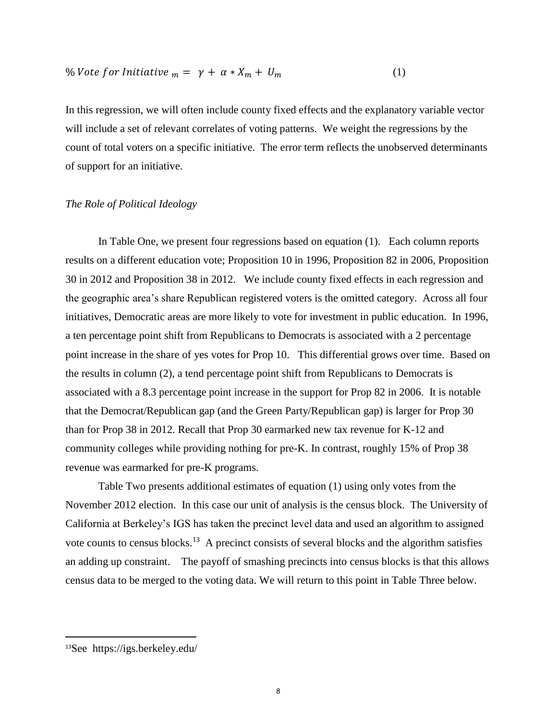$$
\% \text{Vote for Initiative }_{m} = \gamma + \alpha \cdot X_{m} + U_{m} \tag{1}
$$

In this regression, we will often include county fixed effects and the explanatory variable vector will include a set of relevant correlates of voting patterns. We weight the regressions by the count of total voters on a specific initiative. The error term reflects the unobserved determinants of support for an initiative.

#### *The Role of Political Ideology*

In Table One, we present four regressions based on equation (1). Each column reports results on a different education vote; Proposition 10 in 1996, Proposition 82 in 2006, Proposition 30 in 2012 and Proposition 38 in 2012. We include county fixed effects in each regression and the geographic area's share Republican registered voters is the omitted category. Across all four initiatives, Democratic areas are more likely to vote for investment in public education. In 1996, a ten percentage point shift from Republicans to Democrats is associated with a 2 percentage point increase in the share of yes votes for Prop 10. This differential grows over time. Based on the results in column (2), a tend percentage point shift from Republicans to Democrats is associated with a 8.3 percentage point increase in the support for Prop 82 in 2006. It is notable that the Democrat/Republican gap (and the Green Party/Republican gap) is larger for Prop 30 than for Prop 38 in 2012. Recall that Prop 30 earmarked new tax revenue for K-12 and community colleges while providing nothing for pre-K. In contrast, roughly 15% of Prop 38 revenue was earmarked for pre-K programs.

 Table Two presents additional estimates of equation (1) using only votes from the November 2012 election. In this case our unit of analysis is the census block. The University of California at Berkeley's IGS has taken the precinct level data and used an algorithm to assigned vote counts to census blocks.<sup>13</sup> A precinct consists of several blocks and the algorithm satisfies an adding up constraint. The payoff of smashing precincts into census blocks is that this allows census data to be merged to the voting data. We will return to this point in Table Three below.

 $\overline{a}$ 

<sup>13</sup>See https://igs.berkeley.edu/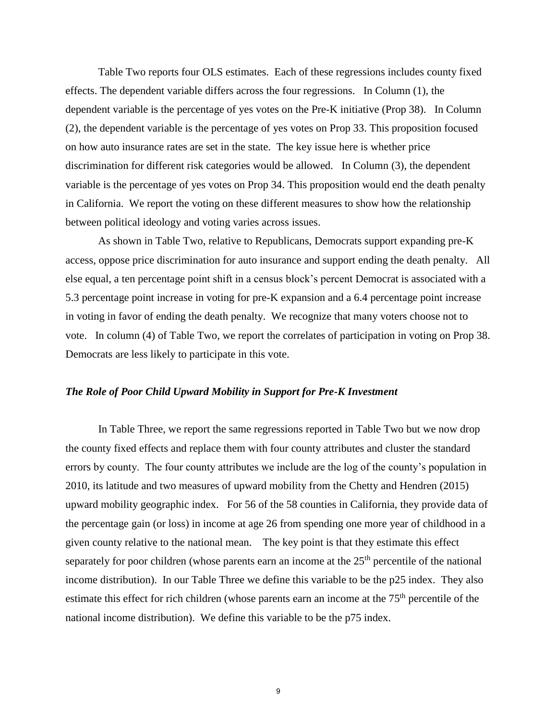Table Two reports four OLS estimates. Each of these regressions includes county fixed effects. The dependent variable differs across the four regressions. In Column (1), the dependent variable is the percentage of yes votes on the Pre-K initiative (Prop 38). In Column (2), the dependent variable is the percentage of yes votes on Prop 33. This proposition focused on how auto insurance rates are set in the state. The key issue here is whether price discrimination for different risk categories would be allowed. In Column (3), the dependent variable is the percentage of yes votes on Prop 34. This proposition would end the death penalty in California. We report the voting on these different measures to show how the relationship between political ideology and voting varies across issues.

 As shown in Table Two, relative to Republicans, Democrats support expanding pre-K access, oppose price discrimination for auto insurance and support ending the death penalty. All else equal, a ten percentage point shift in a census block's percent Democrat is associated with a 5.3 percentage point increase in voting for pre-K expansion and a 6.4 percentage point increase in voting in favor of ending the death penalty. We recognize that many voters choose not to vote. In column (4) of Table Two, we report the correlates of participation in voting on Prop 38. Democrats are less likely to participate in this vote.

#### *The Role of Poor Child Upward Mobility in Support for Pre-K Investment*

 In Table Three, we report the same regressions reported in Table Two but we now drop the county fixed effects and replace them with four county attributes and cluster the standard errors by county. The four county attributes we include are the log of the county's population in 2010, its latitude and two measures of upward mobility from the Chetty and Hendren (2015) upward mobility geographic index. For 56 of the 58 counties in California, they provide data of the percentage gain (or loss) in income at age 26 from spending one more year of childhood in a given county relative to the national mean. The key point is that they estimate this effect separately for poor children (whose parents earn an income at the  $25<sup>th</sup>$  percentile of the national income distribution). In our Table Three we define this variable to be the p25 index. They also estimate this effect for rich children (whose parents earn an income at the  $75<sup>th</sup>$  percentile of the national income distribution). We define this variable to be the p75 index.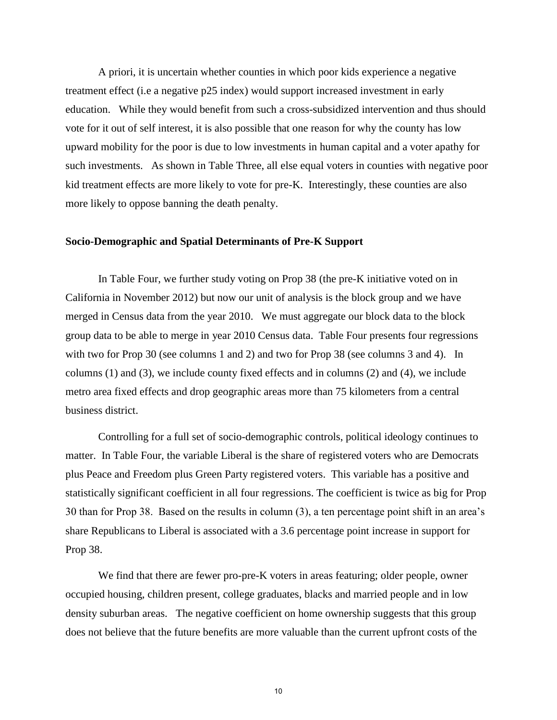A priori, it is uncertain whether counties in which poor kids experience a negative treatment effect (i.e a negative p25 index) would support increased investment in early education. While they would benefit from such a cross-subsidized intervention and thus should vote for it out of self interest, it is also possible that one reason for why the county has low upward mobility for the poor is due to low investments in human capital and a voter apathy for such investments. As shown in Table Three, all else equal voters in counties with negative poor kid treatment effects are more likely to vote for pre-K. Interestingly, these counties are also more likely to oppose banning the death penalty.

#### **Socio-Demographic and Spatial Determinants of Pre-K Support**

In Table Four, we further study voting on Prop 38 (the pre-K initiative voted on in California in November 2012) but now our unit of analysis is the block group and we have merged in Census data from the year 2010. We must aggregate our block data to the block group data to be able to merge in year 2010 Census data. Table Four presents four regressions with two for Prop 30 (see columns 1 and 2) and two for Prop 38 (see columns 3 and 4). In columns (1) and (3), we include county fixed effects and in columns (2) and (4), we include metro area fixed effects and drop geographic areas more than 75 kilometers from a central business district.

Controlling for a full set of socio-demographic controls, political ideology continues to matter. In Table Four, the variable Liberal is the share of registered voters who are Democrats plus Peace and Freedom plus Green Party registered voters. This variable has a positive and statistically significant coefficient in all four regressions. The coefficient is twice as big for Prop 30 than for Prop 38. Based on the results in column (3), a ten percentage point shift in an area's share Republicans to Liberal is associated with a 3.6 percentage point increase in support for Prop 38.

We find that there are fewer pro-pre-K voters in areas featuring; older people, owner occupied housing, children present, college graduates, blacks and married people and in low density suburban areas. The negative coefficient on home ownership suggests that this group does not believe that the future benefits are more valuable than the current upfront costs of the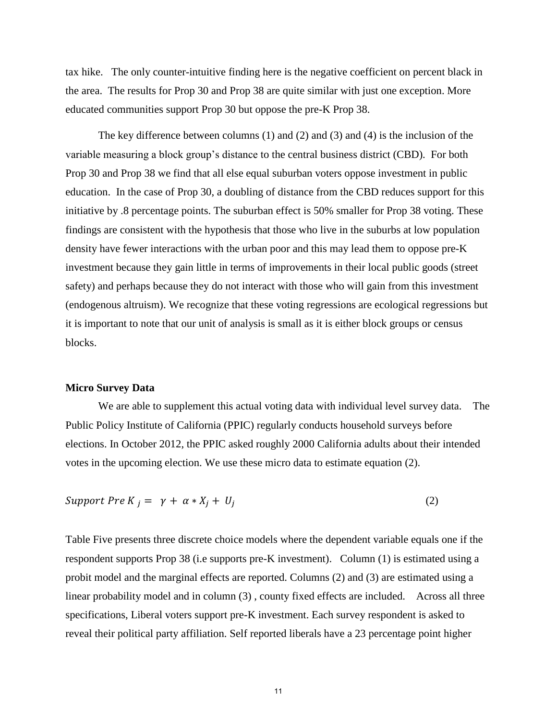tax hike. The only counter-intuitive finding here is the negative coefficient on percent black in the area. The results for Prop 30 and Prop 38 are quite similar with just one exception. More educated communities support Prop 30 but oppose the pre-K Prop 38.

The key difference between columns (1) and (2) and (3) and (4) is the inclusion of the variable measuring a block group's distance to the central business district (CBD). For both Prop 30 and Prop 38 we find that all else equal suburban voters oppose investment in public education. In the case of Prop 30, a doubling of distance from the CBD reduces support for this initiative by .8 percentage points. The suburban effect is 50% smaller for Prop 38 voting. These findings are consistent with the hypothesis that those who live in the suburbs at low population density have fewer interactions with the urban poor and this may lead them to oppose pre-K investment because they gain little in terms of improvements in their local public goods (street safety) and perhaps because they do not interact with those who will gain from this investment (endogenous altruism). We recognize that these voting regressions are ecological regressions but it is important to note that our unit of analysis is small as it is either block groups or census blocks.

#### **Micro Survey Data**

We are able to supplement this actual voting data with individual level survey data. The Public Policy Institute of California (PPIC) regularly conducts household surveys before elections. In October 2012, the PPIC asked roughly 2000 California adults about their intended votes in the upcoming election. We use these micro data to estimate equation (2).

$$
Support Pre K_j = \gamma + \alpha * X_j + U_j \tag{2}
$$

Table Five presents three discrete choice models where the dependent variable equals one if the respondent supports Prop 38 (i.e supports pre-K investment). Column (1) is estimated using a probit model and the marginal effects are reported. Columns (2) and (3) are estimated using a linear probability model and in column (3) , county fixed effects are included. Across all three specifications, Liberal voters support pre-K investment. Each survey respondent is asked to reveal their political party affiliation. Self reported liberals have a 23 percentage point higher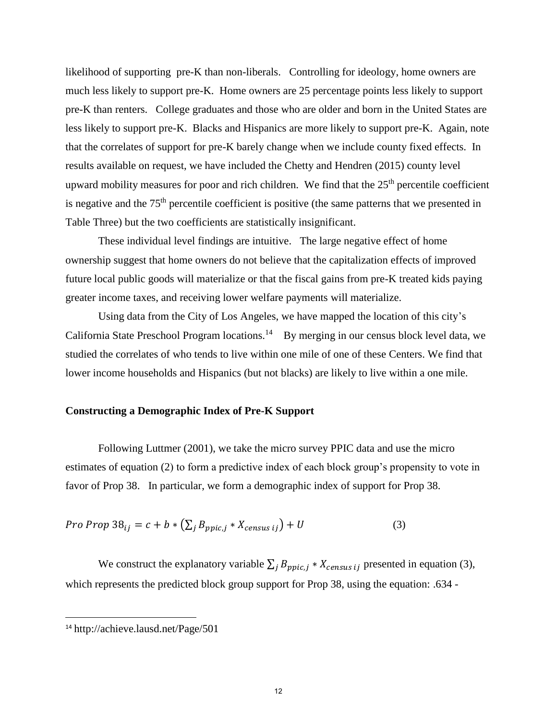likelihood of supporting pre-K than non-liberals. Controlling for ideology, home owners are much less likely to support pre-K. Home owners are 25 percentage points less likely to support pre-K than renters. College graduates and those who are older and born in the United States are less likely to support pre-K. Blacks and Hispanics are more likely to support pre-K. Again, note that the correlates of support for pre-K barely change when we include county fixed effects. In results available on request, we have included the Chetty and Hendren (2015) county level upward mobility measures for poor and rich children. We find that the  $25<sup>th</sup>$  percentile coefficient is negative and the  $75<sup>th</sup>$  percentile coefficient is positive (the same patterns that we presented in Table Three) but the two coefficients are statistically insignificant.

 These individual level findings are intuitive. The large negative effect of home ownership suggest that home owners do not believe that the capitalization effects of improved future local public goods will materialize or that the fiscal gains from pre-K treated kids paying greater income taxes, and receiving lower welfare payments will materialize.

 Using data from the City of Los Angeles, we have mapped the location of this city's California State Preschool Program locations.<sup>14</sup> By merging in our census block level data, we studied the correlates of who tends to live within one mile of one of these Centers. We find that lower income households and Hispanics (but not blacks) are likely to live within a one mile.

#### **Constructing a Demographic Index of Pre-K Support**

 Following Luttmer (2001), we take the micro survey PPIC data and use the micro estimates of equation (2) to form a predictive index of each block group's propensity to vote in favor of Prop 38. In particular, we form a demographic index of support for Prop 38.

$$
Pro \, Prop \, 38_{ij} = c + b * \left(\sum_{j} B_{ppic,j} * X_{census\,ij}\right) + U \tag{3}
$$

We construct the explanatory variable  $\sum_j B_{ppic,j} * X_{census\ ij}$  presented in equation (3), which represents the predicted block group support for Prop 38, using the equation: .634 -

 $\overline{\phantom{a}}$ 

<sup>14</sup> http://achieve.lausd.net/Page/501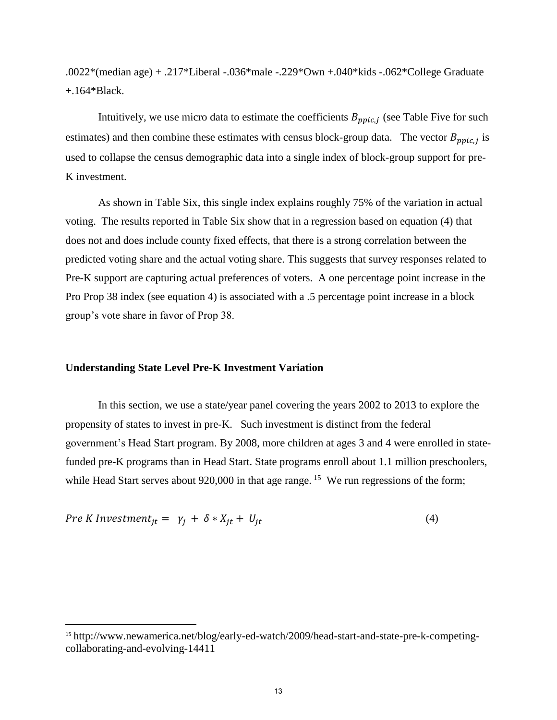.0022\*(median age) + .217\*Liberal -.036\*male -.229\*Own +.040\*kids -.062\*College Graduate +.164\*Black.

Intuitively, we use micro data to estimate the coefficients  $B_{ppic,j}$  (see Table Five for such estimates) and then combine these estimates with census block-group data. The vector  $B_{ppic,j}$  is used to collapse the census demographic data into a single index of block-group support for pre-K investment.

As shown in Table Six, this single index explains roughly 75% of the variation in actual voting. The results reported in Table Six show that in a regression based on equation (4) that does not and does include county fixed effects, that there is a strong correlation between the predicted voting share and the actual voting share. This suggests that survey responses related to Pre-K support are capturing actual preferences of voters. A one percentage point increase in the Pro Prop 38 index (see equation 4) is associated with a .5 percentage point increase in a block group's vote share in favor of Prop 38.

#### **Understanding State Level Pre-K Investment Variation**

l

 In this section, we use a state/year panel covering the years 2002 to 2013 to explore the propensity of states to invest in pre-K. Such investment is distinct from the federal government's Head Start program. By 2008, more children at ages 3 and 4 were enrolled in statefunded pre-K programs than in Head Start. State programs enroll about 1.1 million preschoolers, while Head Start serves about  $920,000$  in that age range. <sup>15</sup> We run regressions of the form;

$$
Pre K Investment_{jt} = \gamma_j + \delta * X_{jt} + U_{jt}
$$
\n(4)

<sup>15</sup> http://www.newamerica.net/blog/early-ed-watch/2009/head-start-and-state-pre-k-competingcollaborating-and-evolving-14411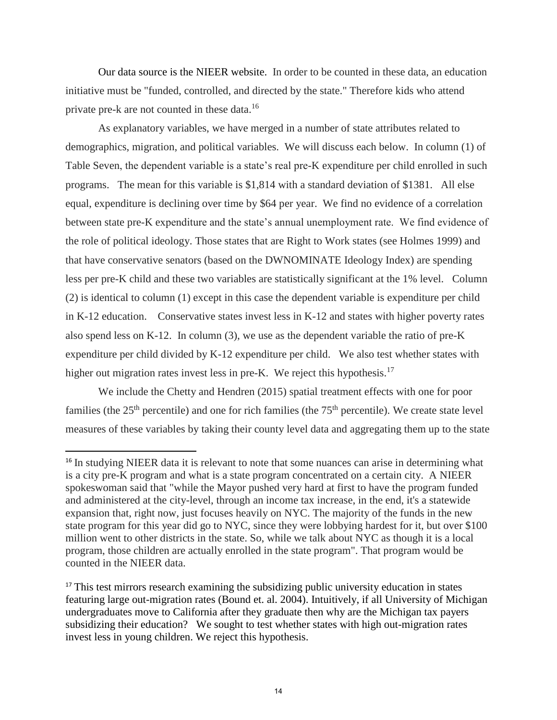Our data source is the NIEER website. In order to be counted in these data, an education initiative must be "funded, controlled, and directed by the state." Therefore kids who attend private pre-k are not counted in these data.<sup>16</sup>

As explanatory variables, we have merged in a number of state attributes related to demographics, migration, and political variables. We will discuss each below. In column (1) of Table Seven, the dependent variable is a state's real pre-K expenditure per child enrolled in such programs. The mean for this variable is \$1,814 with a standard deviation of \$1381. All else equal, expenditure is declining over time by \$64 per year. We find no evidence of a correlation between state pre-K expenditure and the state's annual unemployment rate. We find evidence of the role of political ideology. Those states that are Right to Work states (see Holmes 1999) and that have conservative senators (based on the DWNOMINATE Ideology Index) are spending less per pre-K child and these two variables are statistically significant at the 1% level. Column (2) is identical to column (1) except in this case the dependent variable is expenditure per child in K-12 education. Conservative states invest less in K-12 and states with higher poverty rates also spend less on K-12. In column (3), we use as the dependent variable the ratio of pre-K expenditure per child divided by K-12 expenditure per child. We also test whether states with higher out migration rates invest less in pre-K. We reject this hypothesis.<sup>17</sup>

We include the Chetty and Hendren (2015) spatial treatment effects with one for poor families (the  $25<sup>th</sup>$  percentile) and one for rich families (the  $75<sup>th</sup>$  percentile). We create state level measures of these variables by taking their county level data and aggregating them up to the state

 $\overline{a}$ 

<sup>&</sup>lt;sup>16</sup> In studying NIEER data it is relevant to note that some nuances can arise in determining what is a city pre-K program and what is a state program concentrated on a certain city. A NIEER spokeswoman said that "while the Mayor pushed very hard at first to have the program funded and administered at the city-level, through an income tax increase, in the end, it's a statewide expansion that, right now, just focuses heavily on NYC. The majority of the funds in the new state program for this year did go to NYC, since they were lobbying hardest for it, but over \$100 million went to other districts in the state. So, while we talk about NYC as though it is a local program, those children are actually enrolled in the state program". That program would be counted in the NIEER data.

<sup>&</sup>lt;sup>17</sup> This test mirrors research examining the subsidizing public university education in states featuring large out-migration rates (Bound et. al. 2004). Intuitively, if all University of Michigan undergraduates move to California after they graduate then why are the Michigan tax payers subsidizing their education? We sought to test whether states with high out-migration rates invest less in young children. We reject this hypothesis.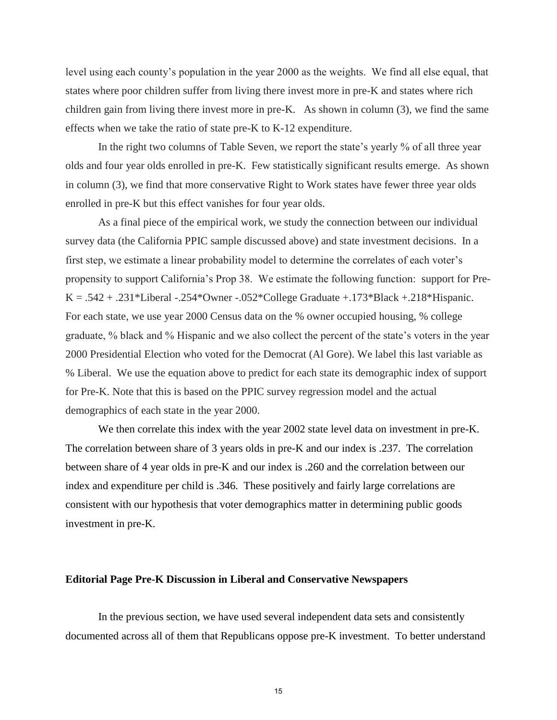level using each county's population in the year 2000 as the weights. We find all else equal, that states where poor children suffer from living there invest more in pre-K and states where rich children gain from living there invest more in pre-K. As shown in column (3), we find the same effects when we take the ratio of state pre-K to K-12 expenditure.

In the right two columns of Table Seven, we report the state's yearly % of all three year olds and four year olds enrolled in pre-K. Few statistically significant results emerge. As shown in column (3), we find that more conservative Right to Work states have fewer three year olds enrolled in pre-K but this effect vanishes for four year olds.

As a final piece of the empirical work, we study the connection between our individual survey data (the California PPIC sample discussed above) and state investment decisions. In a first step, we estimate a linear probability model to determine the correlates of each voter's propensity to support California's Prop 38. We estimate the following function: support for Pre-K =  $.542 + .231*$ Liberal  $-.254*$ Owner  $-.052*$ College Graduate  $+.173*$ Black  $+.218*$ Hispanic. For each state, we use year 2000 Census data on the % owner occupied housing, % college graduate, % black and % Hispanic and we also collect the percent of the state's voters in the year 2000 Presidential Election who voted for the Democrat (Al Gore). We label this last variable as % Liberal. We use the equation above to predict for each state its demographic index of support for Pre-K. Note that this is based on the PPIC survey regression model and the actual demographics of each state in the year 2000.

We then correlate this index with the year 2002 state level data on investment in pre-K. The correlation between share of 3 years olds in pre-K and our index is .237. The correlation between share of 4 year olds in pre-K and our index is .260 and the correlation between our index and expenditure per child is .346. These positively and fairly large correlations are consistent with our hypothesis that voter demographics matter in determining public goods investment in pre-K.

#### **Editorial Page Pre-K Discussion in Liberal and Conservative Newspapers**

 In the previous section, we have used several independent data sets and consistently documented across all of them that Republicans oppose pre-K investment. To better understand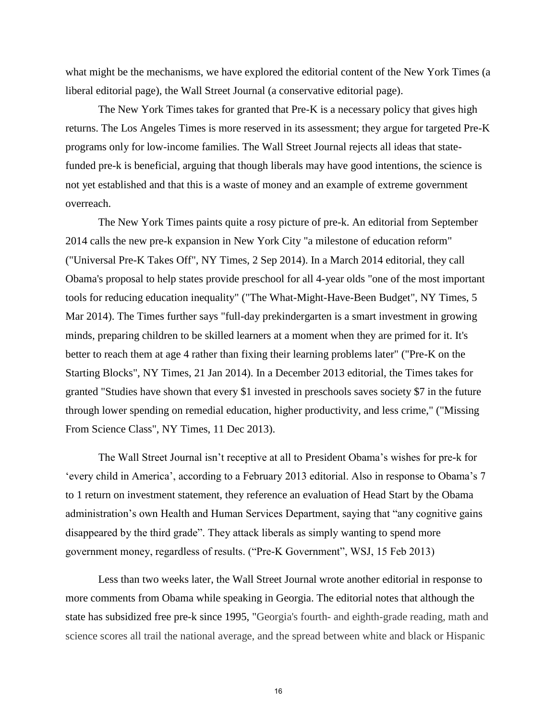what might be the mechanisms, we have explored the editorial content of the New York Times (a liberal editorial page), the Wall Street Journal (a conservative editorial page).

The New York Times takes for granted that Pre-K is a necessary policy that gives high returns. The Los Angeles Times is more reserved in its assessment; they argue for targeted Pre-K programs only for low-income families. The Wall Street Journal rejects all ideas that statefunded pre-k is beneficial, arguing that though liberals may have good intentions, the science is not yet established and that this is a waste of money and an example of extreme government overreach.

The New York Times paints quite a rosy picture of pre-k. An editorial from September 2014 calls the new pre-k expansion in New York City "a milestone of education reform" ("Universal Pre-K Takes Off", NY Times, 2 Sep 2014). In a March 2014 editorial, they call Obama's proposal to help states provide preschool for all 4-year olds "one of the most important tools for reducing education inequality" ("The What-Might-Have-Been Budget", NY Times, 5 Mar 2014). The Times further says "full-day prekindergarten is a smart investment in growing minds, preparing children to be skilled learners at a moment when they are primed for it. It's better to reach them at age 4 rather than fixing their learning problems later" ("Pre-K on the Starting Blocks", NY Times, 21 Jan 2014). In a December 2013 editorial, the Times takes for granted "Studies have shown that every \$1 invested in preschools saves society \$7 in the future through lower spending on remedial education, higher productivity, and less crime," ("Missing From Science Class", NY Times, 11 Dec 2013).

The Wall Street Journal isn't receptive at all to President Obama's wishes for pre-k for 'every child in America', according to a February 2013 editorial. Also in response to Obama's 7 to 1 return on investment statement, they reference an evaluation of Head Start by the Obama administration's own Health and Human Services Department, saying that "any cognitive gains disappeared by the third grade". They attack liberals as simply wanting to spend more government money, regardless of results. ("Pre-K Government", WSJ, 15 Feb 2013)

Less than two weeks later, the Wall Street Journal wrote another editorial in response to more comments from Obama while speaking in Georgia. The editorial notes that although the state has subsidized free pre-k since 1995, "Georgia's fourth- and eighth-grade reading, math and science scores all trail the national average, and the spread between white and black or Hispanic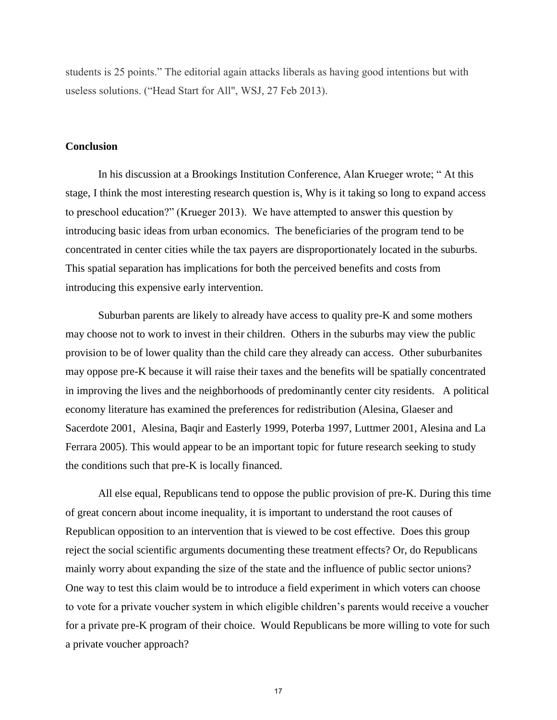students is 25 points." The editorial again attacks liberals as having good intentions but with useless solutions. ("Head Start for All", WSJ, 27 Feb 2013).

#### **Conclusion**

In his discussion at a Brookings Institution Conference, Alan Krueger wrote; " At this stage, I think the most interesting research question is, Why is it taking so long to expand access to preschool education?" (Krueger 2013). We have attempted to answer this question by introducing basic ideas from urban economics. The beneficiaries of the program tend to be concentrated in center cities while the tax payers are disproportionately located in the suburbs. This spatial separation has implications for both the perceived benefits and costs from introducing this expensive early intervention.

 Suburban parents are likely to already have access to quality pre-K and some mothers may choose not to work to invest in their children. Others in the suburbs may view the public provision to be of lower quality than the child care they already can access. Other suburbanites may oppose pre-K because it will raise their taxes and the benefits will be spatially concentrated in improving the lives and the neighborhoods of predominantly center city residents. A political economy literature has examined the preferences for redistribution (Alesina, Glaeser and Sacerdote 2001, Alesina, Baqir and Easterly 1999, Poterba 1997, Luttmer 2001, Alesina and La Ferrara 2005). This would appear to be an important topic for future research seeking to study the conditions such that pre-K is locally financed.

All else equal, Republicans tend to oppose the public provision of pre-K. During this time of great concern about income inequality, it is important to understand the root causes of Republican opposition to an intervention that is viewed to be cost effective. Does this group reject the social scientific arguments documenting these treatment effects? Or, do Republicans mainly worry about expanding the size of the state and the influence of public sector unions? One way to test this claim would be to introduce a field experiment in which voters can choose to vote for a private voucher system in which eligible children's parents would receive a voucher for a private pre-K program of their choice. Would Republicans be more willing to vote for such a private voucher approach?

17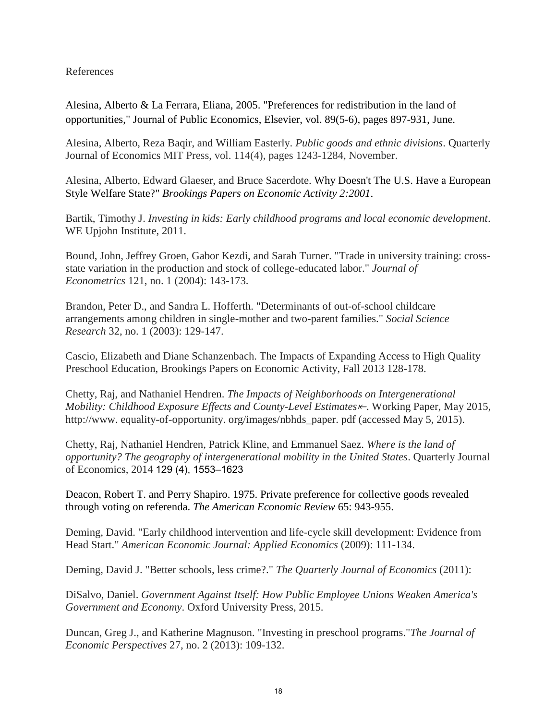#### References

Alesina, Alberto & La Ferrara, Eliana, 2005. "Preferences for redistribution in the land of opportunities," Journal of Public Economics, Elsevier, vol. 89(5-6), pages 897-931, June.

Alesina, Alberto, Reza Baqir, and William Easterly. *Public goods and ethnic divisions*. Quarterly Journal of Economics MIT Press, vol. 114(4), pages 1243-1284, November.

Alesina, Alberto, Edward Glaeser, and Bruce Sacerdote. Why Doesn't The U.S. Have a European Style Welfare State?" *Brookings Papers on Economic Activity 2:2001*.

Bartik, Timothy J. *Investing in kids: Early childhood programs and local economic development*. WE Upjohn Institute, 2011.

Bound, John, Jeffrey Groen, Gabor Kezdi, and Sarah Turner. "Trade in university training: crossstate variation in the production and stock of college-educated labor." *Journal of Econometrics* 121, no. 1 (2004): 143-173.

Brandon, Peter D., and Sandra L. Hofferth. "Determinants of out-of-school childcare arrangements among children in single-mother and two-parent families." *Social Science Research* 32, no. 1 (2003): 129-147.

Cascio, Elizabeth and Diane Schanzenbach. The Impacts of Expanding Access to High Quality Preschool Education, Brookings Papers on Economic Activity, Fall 2013 128-178.

Chetty, Raj, and Nathaniel Hendren. *The Impacts of Neighborhoods on Intergenerational Mobility: Childhood Exposure Effects and County-Level Estimates<sup>k</sup>*. Working Paper, May 2015, http://www. equality-of-opportunity. org/images/nbhds\_paper. pdf (accessed May 5, 2015).

Chetty, Raj, Nathaniel Hendren, Patrick Kline, and Emmanuel Saez. *Where is the land of opportunity? The geography of intergenerational mobility in the United States*. Quarterly Journal of Economics, 2014 129 (4), 1553–1623

Deacon, Robert T. and Perry Shapiro. 1975. Private preference for collective goods revealed through voting on referenda. *The American Economic Review* 65: 943-955.

Deming, David. "Early childhood intervention and life-cycle skill development: Evidence from Head Start." *American Economic Journal: Applied Economics* (2009): 111-134.

Deming, David J. "Better schools, less crime?." *The Quarterly Journal of Economics* (2011):

DiSalvo, Daniel. *Government Against Itself: How Public Employee Unions Weaken America's Government and Economy*. Oxford University Press, 2015.

Duncan, Greg J., and Katherine Magnuson. "Investing in preschool programs."*The Journal of Economic Perspectives* 27, no. 2 (2013): 109-132.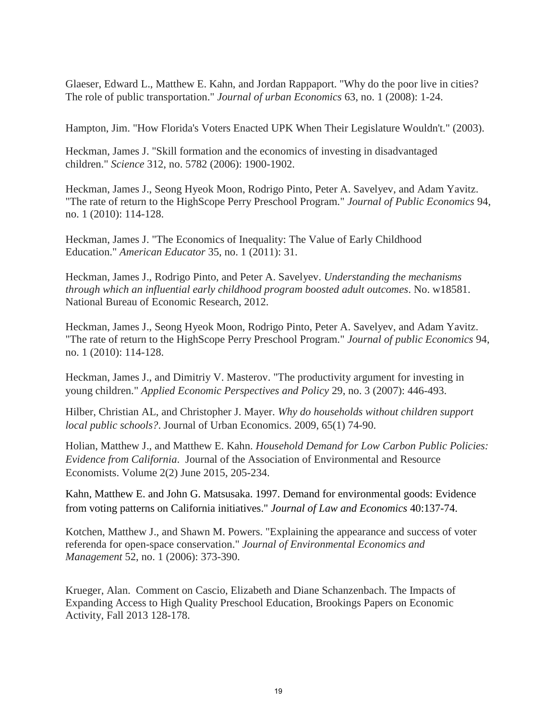Glaeser, Edward L., Matthew E. Kahn, and Jordan Rappaport. "Why do the poor live in cities? The role of public transportation." *Journal of urban Economics* 63, no. 1 (2008): 1-24.

Hampton, Jim. "How Florida's Voters Enacted UPK When Their Legislature Wouldn't." (2003).

Heckman, James J. "Skill formation and the economics of investing in disadvantaged children." *Science* 312, no. 5782 (2006): 1900-1902.

Heckman, James J., Seong Hyeok Moon, Rodrigo Pinto, Peter A. Savelyev, and Adam Yavitz. "The rate of return to the HighScope Perry Preschool Program." *Journal of Public Economics* 94, no. 1 (2010): 114-128.

Heckman, James J. "The Economics of Inequality: The Value of Early Childhood Education." *American Educator* 35, no. 1 (2011): 31.

Heckman, James J., Rodrigo Pinto, and Peter A. Savelyev. *Understanding the mechanisms through which an influential early childhood program boosted adult outcomes*. No. w18581. National Bureau of Economic Research, 2012.

Heckman, James J., Seong Hyeok Moon, Rodrigo Pinto, Peter A. Savelyev, and Adam Yavitz. "The rate of return to the HighScope Perry Preschool Program." *Journal of public Economics* 94, no. 1 (2010): 114-128.

Heckman, James J., and Dimitriy V. Masterov. "The productivity argument for investing in young children." *Applied Economic Perspectives and Policy* 29, no. 3 (2007): 446-493.

Hilber, Christian AL, and Christopher J. Mayer. *Why do households without children support local public schools?*. Journal of Urban Economics. 2009, 65(1) 74-90.

Holian, Matthew J., and Matthew E. Kahn. *Household Demand for Low Carbon Public Policies: Evidence from California*. Journal of the Association of Environmental and Resource Economists. Volume 2(2) June 2015, 205-234.

Kahn, Matthew E. and John G. Matsusaka. 1997. Demand for environmental goods: Evidence from voting patterns on California initiatives." *Journal of Law and Economics* 40:137-74.

Kotchen, Matthew J., and Shawn M. Powers. "Explaining the appearance and success of voter referenda for open-space conservation." *Journal of Environmental Economics and Management* 52, no. 1 (2006): 373-390.

Krueger, Alan. Comment on Cascio, Elizabeth and Diane Schanzenbach. The Impacts of Expanding Access to High Quality Preschool Education, Brookings Papers on Economic Activity, Fall 2013 128-178.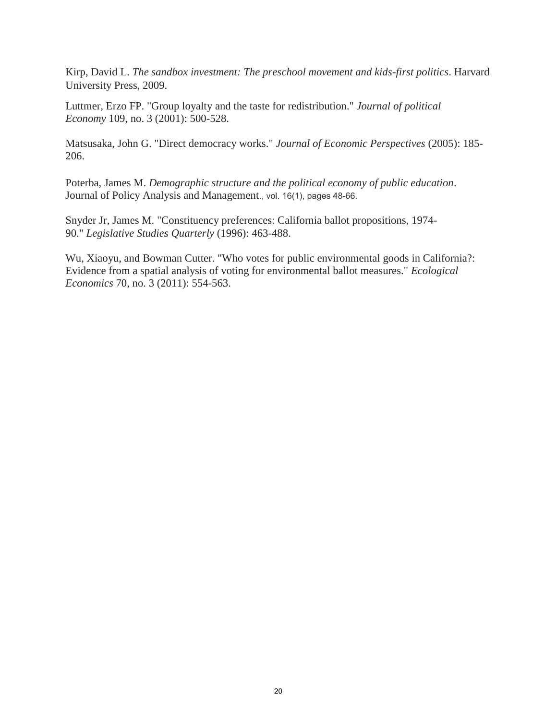Kirp, David L. *The sandbox investment: The preschool movement and kids-first politics*. Harvard University Press, 2009.

Luttmer, Erzo FP. "Group loyalty and the taste for redistribution." *Journal of political Economy* 109, no. 3 (2001): 500-528.

Matsusaka, John G. "Direct democracy works." *Journal of Economic Perspectives* (2005): 185- 206.

Poterba, James M. *Demographic structure and the political economy of public education*. Journal of Policy Analysis and Management., vol. 16(1), pages 48-66.

Snyder Jr, James M. "Constituency preferences: California ballot propositions, 1974- 90." *Legislative Studies Quarterly* (1996): 463-488.

Wu, Xiaoyu, and Bowman Cutter. "Who votes for public environmental goods in California?: Evidence from a spatial analysis of voting for environmental ballot measures." *Ecological Economics* 70, no. 3 (2011): 554-563.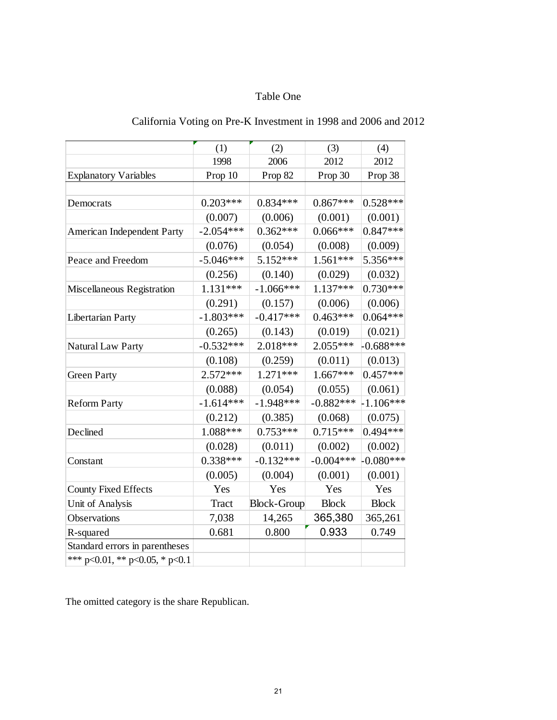## Table One

|                                        | (1)          | (2)                | (3)          | (4)          |
|----------------------------------------|--------------|--------------------|--------------|--------------|
|                                        | 1998         | 2006               | 2012         | 2012         |
| <b>Explanatory Variables</b>           | Prop 10      | Prop 82            | Prop 30      | Prop 38      |
|                                        |              |                    |              |              |
| Democrats                              | $0.203***$   | $0.834***$         | $0.867***$   | $0.528***$   |
|                                        | (0.007)      | (0.006)            | (0.001)      | (0.001)      |
| American Independent Party             | $-2.054***$  | $0.362***$         | $0.066***$   | $0.847***$   |
|                                        | (0.076)      | (0.054)            | (0.008)      | (0.009)      |
| Peace and Freedom                      | $-5.046***$  | 5.152***           | $1.561***$   | 5.356***     |
|                                        | (0.256)      | (0.140)            | (0.029)      | (0.032)      |
| Miscellaneous Registration             | $1.131***$   | $-1.066***$        | $1.137***$   | $0.730***$   |
|                                        | (0.291)      | (0.157)            | (0.006)      | (0.006)      |
| Libertarian Party                      | $-1.803***$  | $-0.417***$        | $0.463***$   | $0.064***$   |
|                                        | (0.265)      | (0.143)            | (0.019)      | (0.021)      |
| Natural Law Party                      | $-0.532***$  | $2.018***$         | $2.055***$   | $-0.688***$  |
|                                        | (0.108)      | (0.259)            | (0.011)      | (0.013)      |
| <b>Green Party</b>                     | $2.572***$   | $1.271***$         | $1.667***$   | $0.457***$   |
|                                        | (0.088)      | (0.054)            | (0.055)      | (0.061)      |
| <b>Reform Party</b>                    | $-1.614***$  | $-1.948***$        | $-0.882***$  | $-1.106***$  |
|                                        | (0.212)      | (0.385)            | (0.068)      | (0.075)      |
| Declined                               | 1.088***     | $0.753***$         | $0.715***$   | $0.494***$   |
|                                        | (0.028)      | (0.011)            | (0.002)      | (0.002)      |
| Constant                               | $0.338***$   | $-0.132***$        | $-0.004***$  | $-0.080***$  |
|                                        | (0.005)      | (0.004)            | (0.001)      | (0.001)      |
| <b>County Fixed Effects</b>            | Yes          | Yes                | Yes          | Yes          |
| Unit of Analysis                       | <b>Tract</b> | <b>Block-Group</b> | <b>Block</b> | <b>Block</b> |
| Observations                           | 7,038        | 14,265             | 365,380      | 365,261      |
| R-squared                              | 0.681        | 0.800              | 0.933        | 0.749        |
| Standard errors in parentheses         |              |                    |              |              |
| *** $p<0.01$ , ** $p<0.05$ , * $p<0.1$ |              |                    |              |              |

# California Voting on Pre-K Investment in 1998 and 2006 and 2012

The omitted category is the share Republican.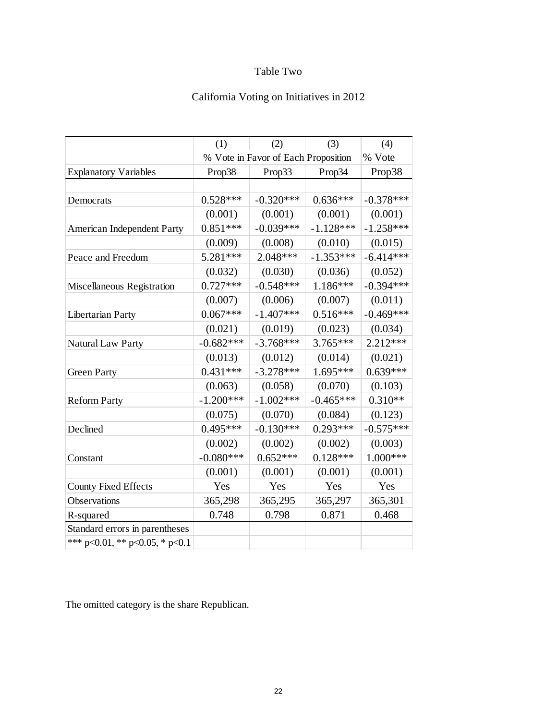# Table Two

# California Voting on Initiatives in 2012

|                                | (1)         | (2)                                 | (3)         | (4)         |
|--------------------------------|-------------|-------------------------------------|-------------|-------------|
|                                |             | % Vote in Favor of Each Proposition |             | % Vote      |
| <b>Explanatory Variables</b>   | Prop38      | Prop33                              | Prop34      | Prop38      |
|                                |             |                                     |             |             |
| Democrats                      | $0.528***$  | $-0.320***$                         | $0.636***$  | $-0.378***$ |
|                                | (0.001)     | (0.001)                             | (0.001)     | (0.001)     |
| American Independent Party     | $0.851***$  | $-0.039***$                         | $-1.128***$ | $-1.258***$ |
|                                | (0.009)     | (0.008)                             | (0.010)     | (0.015)     |
| Peace and Freedom              | 5.281***    | $2.048***$                          | $-1.353***$ | $-6.414***$ |
|                                | (0.032)     | (0.030)                             | (0.036)     | (0.052)     |
| Miscellaneous Registration     | $0.727***$  | $-0.548***$                         | $1.186***$  | $-0.394***$ |
|                                | (0.007)     | (0.006)                             | (0.007)     | (0.011)     |
| Libertarian Party              | $0.067***$  | $-1.407***$                         | $0.516***$  | $-0.469***$ |
|                                | (0.021)     | (0.019)                             | (0.023)     | (0.034)     |
| Natural Law Party              | $-0.682***$ | $-3.768***$                         | $3.765***$  | $2.212***$  |
|                                | (0.013)     | (0.012)                             | (0.014)     | (0.021)     |
| <b>Green Party</b>             | $0.431***$  | $-3.278***$                         | $1.695***$  | $0.639***$  |
|                                | (0.063)     | (0.058)                             | (0.070)     | (0.103)     |
| <b>Reform Party</b>            | $-1.200***$ | $-1.002***$                         | $-0.465***$ | $0.310**$   |
|                                | (0.075)     | (0.070)                             | (0.084)     | (0.123)     |
| Declined                       | $0.495***$  | $-0.130***$                         | $0.293***$  | $-0.575***$ |
|                                | (0.002)     | (0.002)                             | (0.002)     | (0.003)     |
| Constant                       | $-0.080***$ | $0.652***$                          | $0.128***$  | 1.000***    |
|                                | (0.001)     | (0.001)                             | (0.001)     | (0.001)     |
| <b>County Fixed Effects</b>    | Yes         | Yes                                 | Yes         | Yes         |
| Observations                   | 365,298     | 365,295                             | 365,297     | 365,301     |
| R-squared                      | 0.748       | 0.798                               | 0.871       | 0.468       |
| Standard errors in parentheses |             |                                     |             |             |
| *** p<0.01, ** p<0.05, * p<0.1 |             |                                     |             |             |

The omitted category is the share Republican.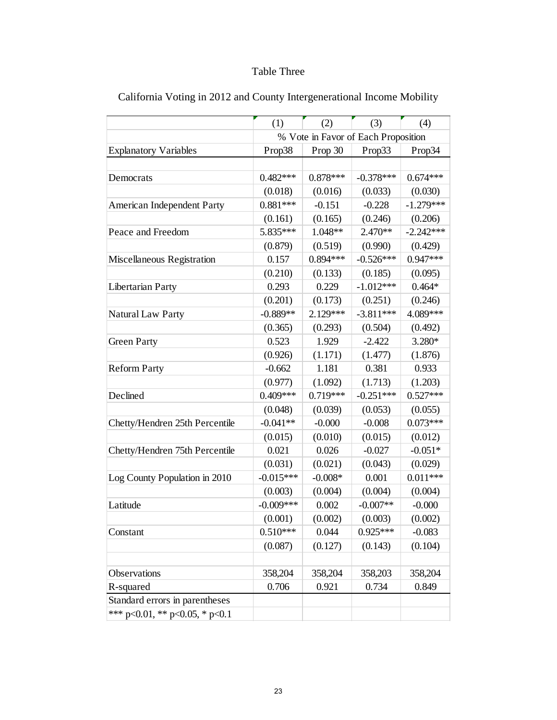# Table Three

|                                        | (1)         | (2)        | (3)                                 | (4)         |
|----------------------------------------|-------------|------------|-------------------------------------|-------------|
|                                        |             |            | % Vote in Favor of Each Proposition |             |
| <b>Explanatory Variables</b>           | Prop38      | Prop 30    | Prop33                              | Prop34      |
|                                        |             |            |                                     |             |
| Democrats                              | $0.482***$  | $0.878***$ | $-0.378***$                         | $0.674***$  |
|                                        | (0.018)     | (0.016)    | (0.033)                             | (0.030)     |
| American Independent Party             | $0.881***$  | $-0.151$   | $-0.228$                            | $-1.279***$ |
|                                        | (0.161)     | (0.165)    | (0.246)                             | (0.206)     |
| Peace and Freedom                      | 5.835***    | 1.048**    | 2.470**                             | $-2.242***$ |
|                                        | (0.879)     | (0.519)    | (0.990)                             | (0.429)     |
| Miscellaneous Registration             | 0.157       | $0.894***$ | $-0.526***$                         | $0.947***$  |
|                                        | (0.210)     | (0.133)    | (0.185)                             | (0.095)     |
| Libertarian Party                      | 0.293       | 0.229      | $-1.012***$                         | $0.464*$    |
|                                        | (0.201)     | (0.173)    | (0.251)                             | (0.246)     |
| Natural Law Party                      | $-0.889**$  | $2.129***$ | $-3.811***$                         | 4.089***    |
|                                        | (0.365)     | (0.293)    | (0.504)                             | (0.492)     |
| <b>Green Party</b>                     | 0.523       | 1.929      | $-2.422$                            | 3.280*      |
|                                        | (0.926)     | (1.171)    | (1.477)                             | (1.876)     |
| <b>Reform Party</b>                    | $-0.662$    | 1.181      | 0.381                               | 0.933       |
|                                        | (0.977)     | (1.092)    | (1.713)                             | (1.203)     |
| Declined                               | $0.409***$  | 0.719***   | $-0.251***$                         | $0.527***$  |
|                                        | (0.048)     | (0.039)    | (0.053)                             | (0.055)     |
| Chetty/Hendren 25th Percentile         | $-0.041**$  | $-0.000$   | $-0.008$                            | $0.073***$  |
|                                        | (0.015)     | (0.010)    | (0.015)                             | (0.012)     |
| Chetty/Hendren 75th Percentile         | 0.021       | 0.026      | $-0.027$                            | $-0.051*$   |
|                                        | (0.031)     | (0.021)    | (0.043)                             | (0.029)     |
| Log County Population in 2010          | $-0.015***$ | $-0.008*$  | 0.001                               | $0.011***$  |
|                                        | (0.003)     | (0.004)    | (0.004)                             | (0.004)     |
| Latitude                               | $-0.009***$ | 0.002      | $-0.007**$                          | $-0.000$    |
|                                        | (0.001)     | (0.002)    | (0.003)                             | (0.002)     |
| Constant                               | $0.510***$  | 0.044      | $0.925***$                          | $-0.083$    |
|                                        | (0.087)     | (0.127)    | (0.143)                             | (0.104)     |
| Observations                           | 358,204     | 358,204    | 358,203                             | 358,204     |
| R-squared                              | 0.706       | 0.921      | 0.734                               | 0.849       |
| Standard errors in parentheses         |             |            |                                     |             |
| *** $p<0.01$ , ** $p<0.05$ , * $p<0.1$ |             |            |                                     |             |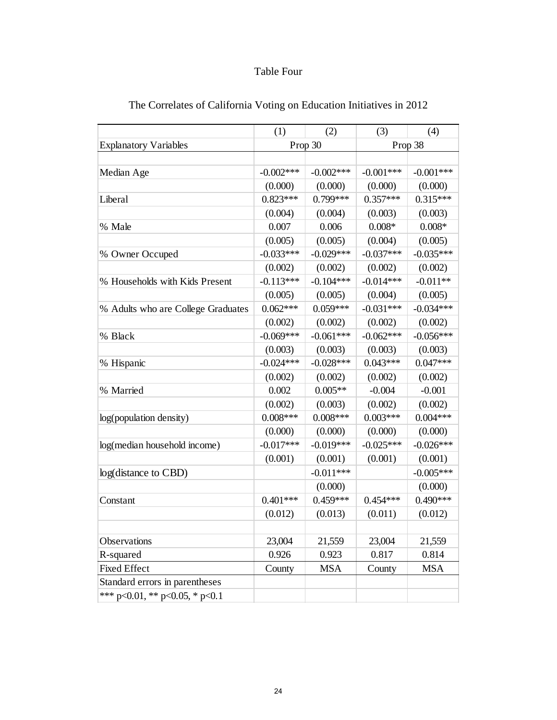### Table Four

| The Correlates of California Voting on Education Initiatives in 2012 |             |             |             |             |  |  |
|----------------------------------------------------------------------|-------------|-------------|-------------|-------------|--|--|
|                                                                      | (1)         | (2)         | (3)         | (4)         |  |  |
| <b>Explanatory Variables</b>                                         |             | Prop 30     | Prop 38     |             |  |  |
|                                                                      |             |             |             |             |  |  |
| Median Age                                                           | $-0.002***$ | $-0.002***$ | $-0.001***$ | $-0.001***$ |  |  |
|                                                                      | (0.000)     | (0.000)     | (0.000)     | (0.000)     |  |  |
| Liberal                                                              | $0.823***$  | $0.799***$  | $0.357***$  | $0.315***$  |  |  |
|                                                                      | (0.004)     | (0.004)     | (0.003)     | (0.003)     |  |  |
| % Male                                                               | 0.007       | 0.006       | $0.008*$    | $0.008*$    |  |  |
|                                                                      | (0.005)     | (0.005)     | (0.004)     | (0.005)     |  |  |
| % Owner Occuped                                                      | $-0.033***$ | $-0.029***$ | $-0.037***$ | $-0.035***$ |  |  |
|                                                                      | (0.002)     | (0.002)     | (0.002)     | (0.002)     |  |  |
| % Households with Kids Present                                       | $-0.113***$ | $-0.104***$ | $-0.014***$ | $-0.011**$  |  |  |
|                                                                      | (0.005)     | (0.005)     | (0.004)     | (0.005)     |  |  |
| % Adults who are College Graduates                                   | $0.062***$  | $0.059***$  | $-0.031***$ | $-0.034***$ |  |  |
|                                                                      | (0.002)     | (0.002)     | (0.002)     | (0.002)     |  |  |
| % Black                                                              | $-0.069***$ | $-0.061***$ | $-0.062***$ | $-0.056***$ |  |  |
|                                                                      | (0.003)     | (0.003)     | (0.003)     | (0.003)     |  |  |
| % Hispanic                                                           | $-0.024***$ | $-0.028***$ | $0.043***$  | $0.047***$  |  |  |
|                                                                      | (0.002)     | (0.002)     | (0.002)     | (0.002)     |  |  |
| % Married                                                            | 0.002       | $0.005**$   | $-0.004$    | $-0.001$    |  |  |
|                                                                      | (0.002)     | (0.003)     | (0.002)     | (0.002)     |  |  |
| log(population density)                                              | $0.008***$  | $0.008***$  | $0.003***$  | $0.004***$  |  |  |
|                                                                      | (0.000)     | (0.000)     | (0.000)     | (0.000)     |  |  |
| log(median household income)                                         | $-0.017***$ | $-0.019***$ | $-0.025***$ | $-0.026***$ |  |  |
|                                                                      | (0.001)     | (0.001)     | (0.001)     | (0.001)     |  |  |
| log(distance to CBD)                                                 |             | $-0.011***$ |             | $-0.005***$ |  |  |
|                                                                      |             | (0.000)     |             | (0.000)     |  |  |
| Constant                                                             | $0.401***$  | $0.459***$  | $0.454***$  | $0.490***$  |  |  |
|                                                                      | (0.012)     | (0.013)     | (0.011)     | (0.012)     |  |  |
|                                                                      |             |             |             |             |  |  |
| Observations                                                         | 23,004      | 21,559      | 23,004      | 21,559      |  |  |
| R-squared                                                            | 0.926       | 0.923       | 0.817       | 0.814       |  |  |
| <b>Fixed Effect</b>                                                  | County      | <b>MSA</b>  | County      | <b>MSA</b>  |  |  |
| Standard errors in parentheses                                       |             |             |             |             |  |  |
| *** p<0.01, ** p<0.05, * p<0.1                                       |             |             |             |             |  |  |

#### The Correlates of California Voting on Education Initiatives in 2012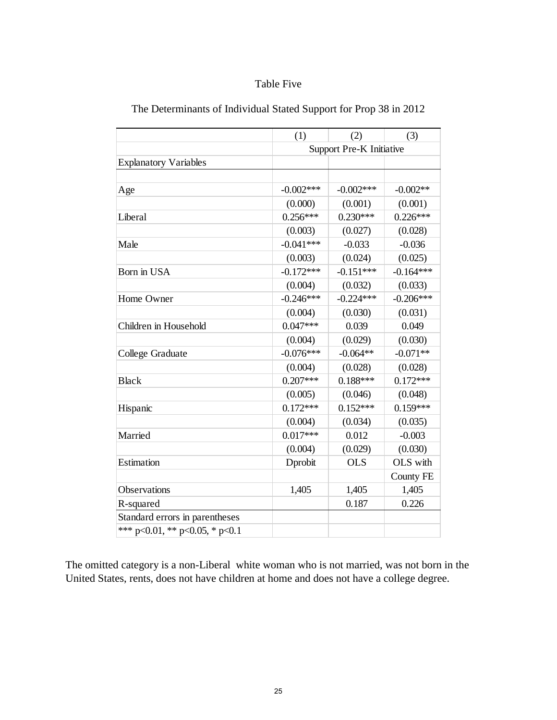#### Table Five

|                                | (1)         | (2)                             | (3)              |
|--------------------------------|-------------|---------------------------------|------------------|
|                                |             | <b>Support Pre-K Initiative</b> |                  |
| <b>Explanatory Variables</b>   |             |                                 |                  |
|                                |             |                                 |                  |
| Age                            | $-0.002***$ | $-0.002***$                     | $-0.002**$       |
|                                | (0.000)     | (0.001)                         | (0.001)          |
| Liberal                        | $0.256***$  | $0.230***$                      | $0.226***$       |
|                                | (0.003)     | (0.027)                         | (0.028)          |
| Male                           | $-0.041***$ | $-0.033$                        | $-0.036$         |
|                                | (0.003)     | (0.024)                         | (0.025)          |
| Born in USA                    | $-0.172***$ | $-0.151***$                     | $-0.164***$      |
|                                | (0.004)     | (0.032)                         | (0.033)          |
| Home Owner                     | $-0.246***$ | $-0.224***$                     | $-0.206***$      |
|                                | (0.004)     | (0.030)                         | (0.031)          |
| Children in Household          | $0.047***$  | 0.039                           | 0.049            |
|                                | (0.004)     | (0.029)                         | (0.030)          |
| College Graduate               | $-0.076***$ | $-0.064**$                      | $-0.071**$       |
|                                | (0.004)     | (0.028)                         | (0.028)          |
| <b>Black</b>                   | $0.207***$  | $0.188***$                      | $0.172***$       |
|                                | (0.005)     | (0.046)                         | (0.048)          |
| Hispanic                       | $0.172***$  | $0.152***$                      | $0.159***$       |
|                                | (0.004)     | (0.034)                         | (0.035)          |
| Married                        | $0.017***$  | 0.012                           | $-0.003$         |
|                                | (0.004)     | (0.029)                         | (0.030)          |
| Estimation                     | Dprobit     | <b>OLS</b>                      | OLS with         |
|                                |             |                                 | <b>County FE</b> |
| Observations                   | 1,405       | 1,405                           | 1,405            |
| R-squared                      |             | 0.187                           | 0.226            |
| Standard errors in parentheses |             |                                 |                  |
| *** p<0.01, ** p<0.05, * p<0.1 |             |                                 |                  |

The omitted category is a non-Liberal white woman who is not married, was not born in the United States, rents, does not have children at home and does not have a college degree.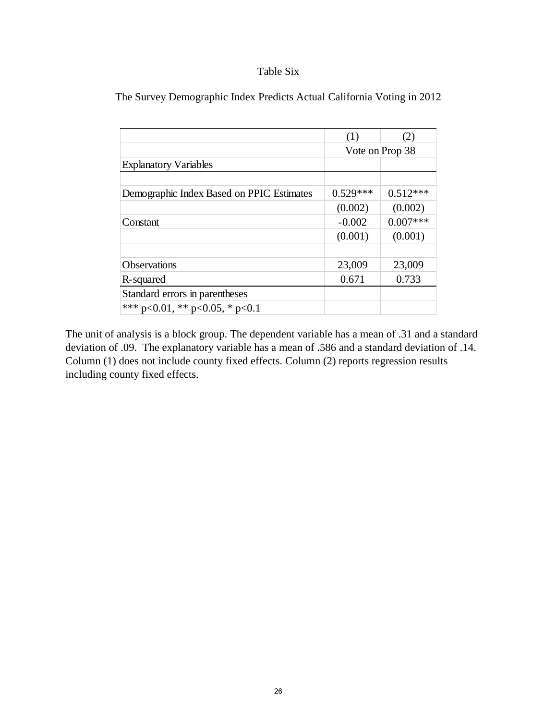#### Table Six

|                                           | (1)             | (2)        |  |
|-------------------------------------------|-----------------|------------|--|
|                                           | Vote on Prop 38 |            |  |
| <b>Explanatory Variables</b>              |                 |            |  |
|                                           |                 |            |  |
| Demographic Index Based on PPIC Estimates | $0.529***$      | $0.512***$ |  |
|                                           | (0.002)         | (0.002)    |  |
| Constant                                  | $-0.002$        | $0.007***$ |  |
|                                           | (0.001)         | (0.001)    |  |
|                                           |                 |            |  |
| <b>Observations</b>                       | 23,009          | 23,009     |  |
| R-squared                                 | 0.671           | 0.733      |  |
| Standard errors in parentheses            |                 |            |  |
| *** p<0.01, ** p<0.05, * p<0.1            |                 |            |  |

The Survey Demographic Index Predicts Actual California Voting in 2012

The unit of analysis is a block group. The dependent variable has a mean of .31 and a standard deviation of .09. The explanatory variable has a mean of .586 and a standard deviation of .14. Column (1) does not include county fixed effects. Column (2) reports regression results including county fixed effects.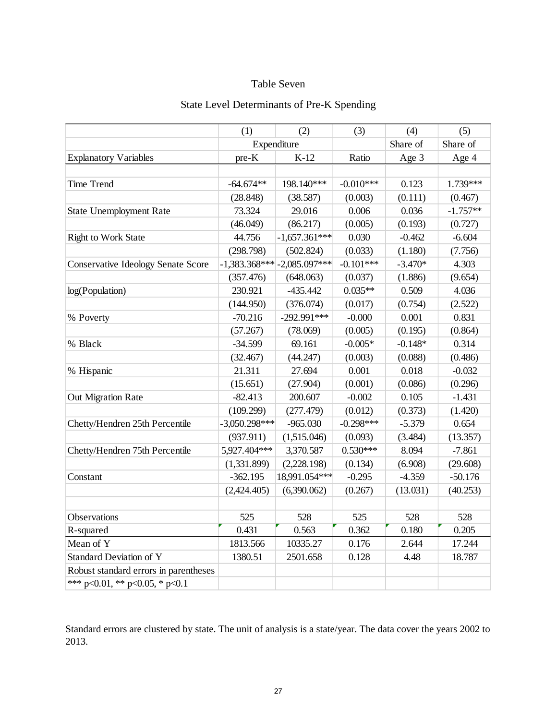#### Table Seven

|                                           | (2)<br>(1)      |                                 | (3)         | (4)       | (5)        |
|-------------------------------------------|-----------------|---------------------------------|-------------|-----------|------------|
|                                           | Expenditure     |                                 |             | Share of  | Share of   |
| <b>Explanatory Variables</b>              | pre-K           | $K-12$                          |             | Age 3     | Age 4      |
|                                           |                 |                                 |             |           |            |
| Time Trend                                | $-64.674**$     | 198.140***                      | $-0.010***$ | 0.123     | 1.739***   |
|                                           | (28.848)        | (38.587)                        | (0.003)     | (0.111)   | (0.467)    |
| <b>State Unemployment Rate</b>            | 73.324          | 29.016                          | 0.006       | 0.036     | $-1.757**$ |
|                                           | (46.049)        | (86.217)                        | (0.005)     | (0.193)   | (0.727)    |
| <b>Right to Work State</b>                | 44.756          | $-1,657.361***$                 | 0.030       | $-0.462$  | $-6.604$   |
|                                           | (298.798)       | (502.824)                       | (0.033)     | (1.180)   | (7.756)    |
| <b>Conservative Ideology Senate Score</b> |                 | $-1,383.368***$ $-2,085.097***$ | $-0.101***$ | $-3.470*$ | 4.303      |
|                                           | (357.476)       | (648.063)                       | (0.037)     | (1.886)   | (9.654)    |
| log(Population)                           | 230.921         | $-435.442$                      | $0.035**$   | 0.509     | 4.036      |
|                                           | (144.950)       | (376.074)                       | (0.017)     | (0.754)   | (2.522)    |
| % Poverty                                 | $-70.216$       | $-292.991***$                   | $-0.000$    | 0.001     | 0.831      |
|                                           | (57.267)        | (78.069)                        | (0.005)     | (0.195)   | (0.864)    |
| % Black                                   | $-34.599$       | 69.161                          | $-0.005*$   | $-0.148*$ | 0.314      |
|                                           | (32.467)        | (44.247)                        | (0.003)     | (0.088)   | (0.486)    |
| % Hispanic                                | 21.311          | 27.694                          | 0.001       | 0.018     | $-0.032$   |
|                                           | (15.651)        | (27.904)                        | (0.001)     | (0.086)   | (0.296)    |
| Out Migration Rate                        | $-82.413$       | 200.607                         | $-0.002$    | 0.105     | $-1.431$   |
|                                           | (109.299)       | (277.479)                       | (0.012)     | (0.373)   | (1.420)    |
| Chetty/Hendren 25th Percentile            | $-3,050.298***$ | $-965.030$                      | $-0.298***$ | $-5.379$  | 0.654      |
|                                           | (937.911)       | (1,515.046)                     | (0.093)     | (3.484)   | (13.357)   |
| Chetty/Hendren 75th Percentile            | 5,927.404***    | 3,370.587                       | $0.530***$  | 8.094     | $-7.861$   |
|                                           | (1,331.899)     | (2,228.198)                     | (0.134)     | (6.908)   | (29.608)   |
| Constant                                  | $-362.195$      | 18,991.054***                   | $-0.295$    | $-4.359$  | $-50.176$  |
|                                           | (2,424.405)     | (6,390.062)                     | (0.267)     | (13.031)  | (40.253)   |
|                                           |                 |                                 |             |           |            |
| Observations                              | 525             | 528                             | 525         | 528       | 528        |
| R-squared                                 | 0.431           | 0.563                           | 0.362       | 0.180     | 0.205      |
| Mean of Y                                 | 1813.566        | 10335.27                        | 0.176       | 2.644     | 17.244     |
| Standard Deviation of Y                   | 1380.51         | 2501.658                        | 0.128       | 4.48      | 18.787     |
| Robust standard errors in parentheses     |                 |                                 |             |           |            |
| *** p<0.01, ** p<0.05, * p<0.1            |                 |                                 |             |           |            |

### State Level Determinants of Pre-K Spending

Standard errors are clustered by state. The unit of analysis is a state/year. The data cover the years 2002 to 2013.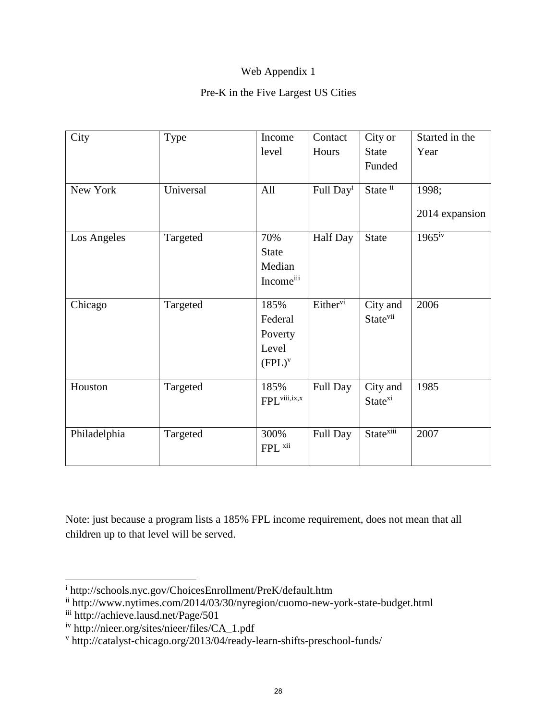# Web Appendix 1

### Pre-K in the Five Largest US Cities

| City         | Type      | Income                   | Contact               | City or               | Started in the       |
|--------------|-----------|--------------------------|-----------------------|-----------------------|----------------------|
|              |           | level                    | Hours                 | <b>State</b>          | Year                 |
|              |           |                          |                       | Funded                |                      |
|              |           |                          |                       |                       |                      |
| New York     | Universal | All                      | Full Day <sup>i</sup> | State ii              | 1998;                |
|              |           |                          |                       |                       | 2014 expansion       |
| Los Angeles  | Targeted  | 70%                      | <b>Half</b> Day       | <b>State</b>          | $196\overline{5}$ iv |
|              |           | <b>State</b>             |                       |                       |                      |
|              |           | Median                   |                       |                       |                      |
|              |           | Incomeiii                |                       |                       |                      |
| Chicago      | Targeted  | 185%                     | Either <sup>vi</sup>  | City and              | 2006                 |
|              |           | Federal                  |                       | State <sup>vii</sup>  |                      |
|              |           | Poverty                  |                       |                       |                      |
|              |           | Level                    |                       |                       |                      |
|              |           | $(FPL)^{v}$              |                       |                       |                      |
| Houston      | Targeted  | 185%                     | Full Day              | City and              | 1985                 |
|              |           | FPL <sup>viii,ix,x</sup> |                       | State <sup>xi</sup>   |                      |
|              |           |                          |                       |                       |                      |
| Philadelphia | Targeted  | 300%                     | Full Day              | State <sup>xiii</sup> | 2007                 |
|              |           | FPL xii                  |                       |                       |                      |
|              |           |                          |                       |                       |                      |

Note: just because a program lists a 185% FPL income requirement, does not mean that all children up to that level will be served.

 $\overline{\phantom{a}}$ 

i http://schools.nyc.gov/ChoicesEnrollment/PreK/default.htm

ii http://www.nytimes.com/2014/03/30/nyregion/cuomo-new-york-state-budget.html

iii http://achieve.lausd.net/Page/501

iv http://nieer.org/sites/nieer/files/CA\_1.pdf

v http://catalyst-chicago.org/2013/04/ready-learn-shifts-preschool-funds/